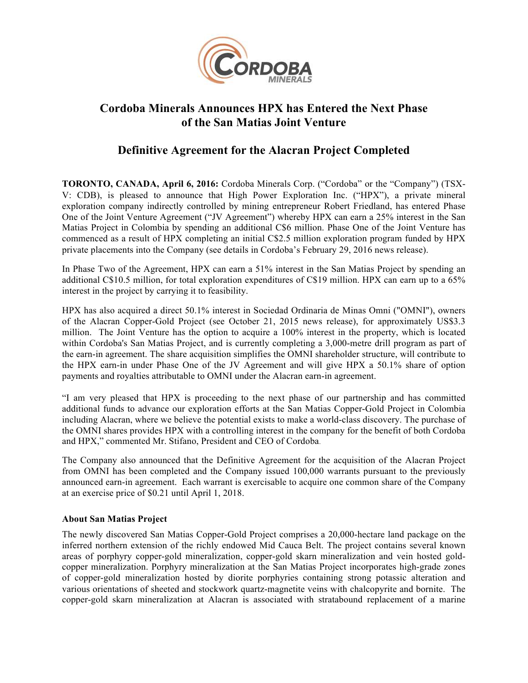

# **Cordoba Minerals Announces HPX has Entered the Next Phase of the San Matias Joint Venture**

## **Definitive Agreement for the Alacran Project Completed**

**TORONTO, CANADA, April 6, 2016:** Cordoba Minerals Corp. ("Cordoba" or the "Company") (TSX-V: CDB), is pleased to announce that High Power Exploration Inc. ("HPX"), a private mineral exploration company indirectly controlled by mining entrepreneur Robert Friedland, has entered Phase One of the Joint Venture Agreement ("JV Agreement") whereby HPX can earn a 25% interest in the San Matias Project in Colombia by spending an additional C\$6 million. Phase One of the Joint Venture has commenced as a result of HPX completing an initial C\$2.5 million exploration program funded by HPX private placements into the Company (see details in Cordoba's February 29, 2016 news release).

In Phase Two of the Agreement, HPX can earn a 51% interest in the San Matias Project by spending an additional C\$10.5 million, for total exploration expenditures of C\$19 million. HPX can earn up to a 65% interest in the project by carrying it to feasibility.

HPX has also acquired a direct 50.1% interest in Sociedad Ordinaria de Minas Omni ("OMNI"), owners of the Alacran Copper-Gold Project (see October 21, 2015 news release), for approximately US\$3.3 million. The Joint Venture has the option to acquire a 100% interest in the property, which is located within Cordoba's San Matias Project, and is currently completing a 3,000-metre drill program as part of the earn-in agreement. The share acquisition simplifies the OMNI shareholder structure, will contribute to the HPX earn-in under Phase One of the JV Agreement and will give HPX a 50.1% share of option payments and royalties attributable to OMNI under the Alacran earn-in agreement.

"I am very pleased that HPX is proceeding to the next phase of our partnership and has committed additional funds to advance our exploration efforts at the San Matias Copper-Gold Project in Colombia including Alacran, where we believe the potential exists to make a world-class discovery. The purchase of the OMNI shares provides HPX with a controlling interest in the company for the benefit of both Cordoba and HPX," commented Mr. Stifano, President and CEO of Cordoba.

The Company also announced that the Definitive Agreement for the acquisition of the Alacran Project from OMNI has been completed and the Company issued 100,000 warrants pursuant to the previously announced earn-in agreement. Each warrant is exercisable to acquire one common share of the Company at an exercise price of \$0.21 until April 1, 2018.

### **About San Matias Project**

The newly discovered San Matias Copper-Gold Project comprises a 20,000-hectare land package on the inferred northern extension of the richly endowed Mid Cauca Belt. The project contains several known areas of porphyry copper-gold mineralization, copper-gold skarn mineralization and vein hosted goldcopper mineralization. Porphyry mineralization at the San Matias Project incorporates high-grade zones of copper-gold mineralization hosted by diorite porphyries containing strong potassic alteration and various orientations of sheeted and stockwork quartz-magnetite veins with chalcopyrite and bornite. The copper-gold skarn mineralization at Alacran is associated with stratabound replacement of a marine